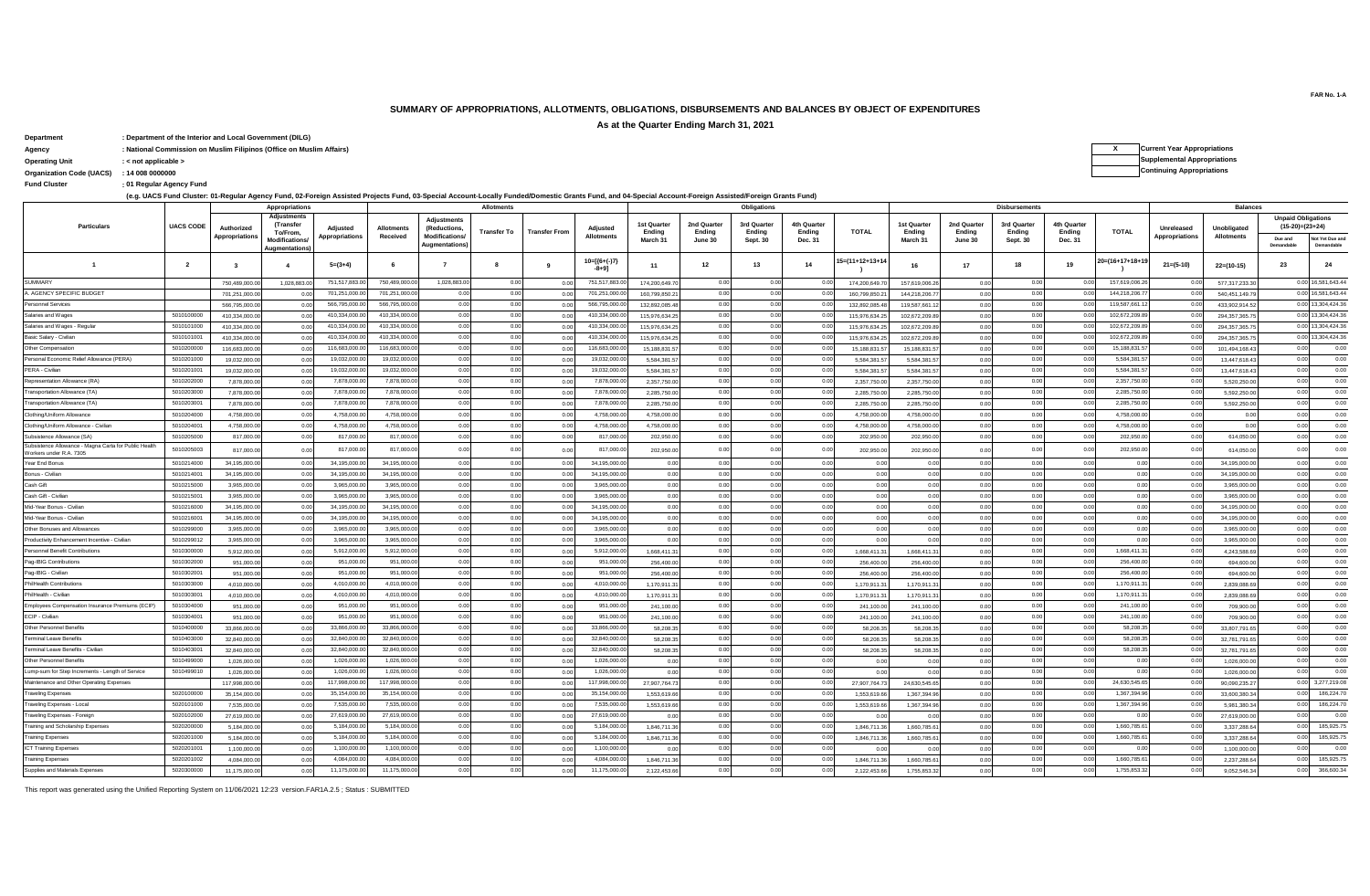# **SUMMARY OF APPROPRIATIONS, ALLOTMENTS, OBLIGATIONS, DISBURSEMENTS AND BALANCES BY OBJECT OF EXPENDITURES**

**As at the Quarter Ending March 31, 2021**

**Department : Department of the Interior and Local Government (DILG)**

**Agency : National Commission on Muslim Filipinos (Office on Muslim Affairs) X Current Year Appropriations**

**: Fund Cluster 01 Regular Agency Fund**

**(e.g. UACS Fund Cluster: 01-Regular Agency Fund, 02-Foreign Assisted Projects Fund, 03-Special Account-Locally Funded/Domestic Grants Fund, and 04-Special Account-Foreign Assisted/Foreign Grants Fund)**

|                                                                                  |                  |                         |                                             | ic.g. 0ACO Fund Cluster. 01-Regular Agency Fund, 02-Foleign Assisted Frojects Fund, 03-opecial Account-Locally Fundeu/Domesite Grants Fund, and 04-opecial Account-Foreign Assisted Foreign Grants Fund) |                   |                                    |                   |                      |                               |                       |                       |                       |                       |                |                       |                       |                       |                       |                   |                       |                 |                                                |                               |
|----------------------------------------------------------------------------------|------------------|-------------------------|---------------------------------------------|----------------------------------------------------------------------------------------------------------------------------------------------------------------------------------------------------------|-------------------|------------------------------------|-------------------|----------------------|-------------------------------|-----------------------|-----------------------|-----------------------|-----------------------|----------------|-----------------------|-----------------------|-----------------------|-----------------------|-------------------|-----------------------|-----------------|------------------------------------------------|-------------------------------|
|                                                                                  |                  |                         | Appropriations                              |                                                                                                                                                                                                          |                   |                                    | <b>Allotments</b> |                      |                               |                       |                       | Obligations           |                       |                |                       |                       | <b>Disbursements</b>  |                       |                   |                       | <b>Balances</b> |                                                |                               |
| <b>Particulars</b>                                                               | <b>UACS CODE</b> | Authorized              | <b>Adjustment:</b><br>(Transfer<br>To/From, | Adjusted                                                                                                                                                                                                 | <b>Allotments</b> | <b>Adjustments</b><br>(Reductions, | Transfer To       | <b>Transfer From</b> | Adjusted<br><b>Allotments</b> | 1st Quarter<br>Ending | 2nd Quarter<br>Ending | 3rd Quarter<br>Ending | 4th Quarter<br>Ending | <b>TOTAL</b>   | 1st Quarter<br>Ending | 2nd Quarter<br>Ending | 3rd Quarter<br>Ending | 4th Quarter<br>Ending | <b>TOTAL</b>      | Unreleased            | Unobligated     | <b>Unpaid Obligations</b><br>$(15-20)=(23+24)$ |                               |
|                                                                                  |                  | Appropriations          | Modifications/<br>ugmentations              | Appropriations                                                                                                                                                                                           | Received          | Modifications/<br>Augmentations)   |                   |                      |                               | March 31              | June 30               | Sept. 30              | Dec. 31               |                | March 31              | June 30               | <b>Sept. 30</b>       | Dec. 31               |                   | <b>Appropriations</b> | Allotments      | Due and<br>Demandable                          | Vot Yet Due and<br>Demandable |
| $\overline{1}$                                                                   | $\overline{2}$   | $\overline{\mathbf{3}}$ | $\mathbf{A}$                                | $5=(3+4)$                                                                                                                                                                                                | -6                | $\overline{7}$                     | 8                 | 9                    | $10=[(6+(-)7)$<br>$-8+91$     | 11                    | 12                    | 13                    | 14                    | 5=(11+12+13+14 | 16                    | 17                    | 18                    | 19                    | $20=(16+17+18+1)$ | $21 = (5-10)$         | 22=(10-15)      | 23                                             | 24                            |
| <b>SUMMARY</b>                                                                   |                  | 750.489.000.            | 1.028.883.0                                 | 751,517,883.0                                                                                                                                                                                            | 750,489,000.00    | 1,028,883.00                       | 0.00              | 0.00                 | 751,517,883.00                | 174,200,649.7         | 0.00                  | 0.00                  |                       | 174.200.649.7  | 157.619.006.2         | 0.00                  | 0.00                  | 0.00                  | 157,619,006.2     | 0.00                  | 577.317.233.3   |                                                | 0.00 16,581,643.44            |
| A. AGENCY SPECIFIC BUDGET                                                        |                  | 701,251,000.0           | 00                                          | 701,251,000.0                                                                                                                                                                                            | 701,251,000.00    | 0.00                               | 0.00              | 0.00                 | 701,251,000.00                | 160.799.850.21        | 0.00                  | 0.00                  | 0.00                  | 160,799,850.2  | 144,218,206.77        | 0.00                  | 0.00                  | n nn                  | 144.218.206.7     | n nr                  | 540,451,149.7   |                                                | 0.00 16.581.643.44            |
| Personnel Services                                                               |                  | 566.795.000.0           | 00                                          | 566,795,000.0                                                                                                                                                                                            | 566,795,000.00    | 0.00                               | 0.00              | 0.00                 | 566,795,000.00                | 132.892.085.48        | 0.00                  | 0.00                  | 0.0                   | 132.892.085.4  | 119,587,661.1         | 0.00                  | 0.00                  |                       | 119,587,661.      | 0.0                   | 433.902.914.5   |                                                | 0.00 13,304,424.36            |
| Salaries and Wages                                                               | 5010100000       | 410.334.000.0           | 0.0                                         | 410,334,000.0                                                                                                                                                                                            | 410,334,000.0     | 0.00                               | 0.00              | 0.00                 | 410,334,000.                  | 115.976.634.25        | 0.00                  | 0.00                  | 0.0                   | 115.976.634.2  | 102.672.209.8         | 0.00                  | 0.00                  | 0.00                  | 102,672,209.      | 0.0                   | 294.357.365.7   |                                                | 0.00 13,304,424.36            |
| Salaries and Wages - Regular                                                     | 5010101000       | 410,334,000.0           | 0.0                                         | 410,334,000.0                                                                                                                                                                                            | 410.334.000.00    | 0.00                               | 0.00              | 0.00                 | 410,334,000.00                | 115,976,634.25        | 0.00                  | 0.00                  | 0.0                   | 115,976,634.2  | 102,672,209.8         | 0.00                  | 0.00                  | 0.0                   | 102,672,209.8     | 0.0                   | 294, 357, 365.7 |                                                | 0.00 13,304,424.36            |
| Basic Salary - Civilian                                                          | 5010101001       | 410.334.000.0           | 0 <sub>0</sub>                              | 410,334,000.0                                                                                                                                                                                            | 410,334,000.00    | 0.00                               | 0.00              | 0.00                 | 410,334,000.00                | 115.976.634.25        | 0.00                  | 0.00                  | 0.0                   | 115.976.634.2  | 102.672.209.89        | 0.00                  | 0.00                  | 0.00                  | 102,672,209.8     | 0.00                  | 294.357.365.7   |                                                | 0.00 13,304,424.36            |
| Other Compensation                                                               | 5010200000       | 116,683,000.0           | 0.0                                         | 116,683,000.0                                                                                                                                                                                            | 116 683 000 0     | 0.00                               | 0.00              | 0.00                 | 116,683,000.00                | 15.188.831.57         | 0.00                  | 0.00                  | 0.00                  | 15.188.831.5   | 15, 188, 831, 57      | 0.00                  | 0.00                  | 0.00                  | 15,188,831.       | 0.00                  | 101.494.168.4   | 0.00                                           | 0.00                          |
| Personal Economic Relief Allowance (PERA)                                        | 5010201000       | 19.032.000.00           | 0.0                                         | 19,032,000.0                                                                                                                                                                                             | 19.032.000.00     | 0.00                               | 0.00              | 0.00                 | 19.032.000.00                 | 5,584,381.57          | 0.00                  | 0.00                  | 0.0                   | 5,584,381.5    | 5.584.381.57          | 0.00                  | 0.00                  | 0.00                  | 5 584 381 5       | 0.00                  | 13,447,618.4    | 0.00                                           | 0.00                          |
| PERA - Civilian                                                                  | 5010201001       | 19.032.000.00           | 0.0                                         | 19,032,000.0                                                                                                                                                                                             | 19,032,000.0      | 0.00                               | 0.00              | 0.00                 | 19,032,000.0                  | 5.584.381.57          | 0.00                  | 0.00                  | 0.00                  | 5.584.381.57   | 5.584.381.57          | 0.00                  | 0.00                  | 0.00                  | 5,584,381.        | 0.00                  | 13,447,618.4    | 0.00                                           | 0.00                          |
| Representation Allowance (RA)                                                    | 5010202000       | 7,878,000.0             | 0 <sup>0</sup>                              | 7,878,000.0                                                                                                                                                                                              | 7,878,000.0       | 0.00                               | 0.00              | 0.00                 | 7,878,000.0                   | 2,357,750.00          | 0.00                  | 0.00                  | 0.0                   | 2,357,750.0    | 2,357,750.0           | 0.00                  | 0.00                  | 0.00                  | 2,357,750.        | 0.0                   | 5,520,250.      | 0.00                                           | 0.00                          |
| Transportation Allowance (TA                                                     | 5010203000       | 7,878,000.0             | 0.0                                         | 7,878,000.0                                                                                                                                                                                              | 7,878,000.0       | 0.00                               | 0.00              | 0.00                 | 7,878,000.0                   | 2,285,750.00          | 0.00                  | 0.00                  | 0.00                  | 2,285,750.0    | 2,285,750.0           | 0.00                  | 0.00                  | 0.00                  | 2,285,750.0       | 0.00                  | 5,592,250.      | 0.00                                           | 0.00                          |
| Transportation Allowance (TA)                                                    | 5010203001       | 7,878,000.0             | 0 <sub>0</sub>                              | 7,878,000.0                                                                                                                                                                                              | 7,878,000.0       | 0.00                               | 0.00              | 0.00                 | 7,878,000.00                  | 2,285,750.00          | 0.00                  | 0.00                  | 0.00                  | 2,285,750.0    | 2,285,750.0           | 0.00                  | 0.00                  | 0.00                  | 2,285,750.0       | 0.00                  | 5,592,250.0     | 0.00                                           | 0.00                          |
| Clothing/Uniform Allowance                                                       | 5010204000       | 4,758,000.0             | 0.0                                         | 4,758,000.0                                                                                                                                                                                              | 4,758,000.00      | 0.00                               | 0.00              | 0.00                 | 4,758,000.00                  | 4,758,000.00          | 0.00                  | 0.00                  | 0.00                  | 4,758,000.0    | 4,758,000.0           | 0.00                  | 0.00                  | 0.00                  | 4,758,000.0       | 0.00                  | 0.0             | 0.00                                           | 0.00                          |
| Clothing/Uniform Allowance - Civilian                                            | 5010204001       | 4,758,000.00            | 0 <sub>0</sub>                              | 4,758,000.0                                                                                                                                                                                              | 4.758.000.00      | 0.00                               | 0.00              | 0.00                 | 4.758.000.00                  | 4.758.000.00          | 0.00                  | 0.00                  | 0.00                  | 4,758,000.00   | 4,758,000.00          | 0.00                  | 0.00                  | 0.00                  | 4.758.000.00      | 0.00                  | 0.00            | 0.00                                           | 0.00                          |
| Subsistence Allowance (SA)                                                       | 5010205000       | 817,000.00              | 0.0                                         | 817,000.0                                                                                                                                                                                                | 817,000.00        | 0.00                               | 0.00              | 0.00                 | 817,000.0                     | 202,950.00            | 0.00                  | 0.00                  | 0.0                   | 202,950.00     | 202,950.00            | 0.00                  | 0.00                  | 0.00                  | 202,950.0         | 0.00                  | 614.050.0       | 0.00                                           | 0.00                          |
| Subsistence Allowance - Magna Carta for Public Health<br>Workers under R.A. 7305 | 5010205003       | 817,000.00              | 0 <sup>0</sup>                              | 817,000.0                                                                                                                                                                                                | 817,000.00        | 0.00                               | 0.00              | 0.00                 | 817,000.00                    | 202.950.00            | 0.00                  | 0.00                  | 0.0                   | 202,950.00     | 202.950.00            | 0.00                  | 0.00                  |                       | 202,950.0         | 0.00                  | 614,050.0       | 0.00                                           | 0.00                          |
| Year End Bonus                                                                   | 5010214000       | 34,195,000.0            | 0 <sub>0</sub>                              | 34,195,000.0                                                                                                                                                                                             | 34,195,000.0      | 0.00                               | 0.00              | 0.00                 | 34,195,000.0                  | 0.00                  | 0.00                  | 0.00                  | 0.00                  | 0.00           | 0 <sub>0</sub>        | 0.00                  | 0.00                  | 0.00                  | 0.00              | 0.0                   | 34.195.000.0    | 0.00                                           | 0.00                          |
| Bonus - Civilian                                                                 | 5010214001       | 34,195,000.0            | 0.0                                         | 34,195,000.0                                                                                                                                                                                             | 34,195,000.0      | 0.00                               | 0.00              | 0.00                 | 34,195,000.0                  | 0.00                  | 0.00                  | 0.00                  | 0.0                   | 0.00           | 0.00                  | 0.00                  | 0.00                  | 0.00                  | 00                | 0.0                   | 34,195,000      | 0.00                                           | 0.00                          |
| Cash Gift                                                                        | 5010215000       | 3,965,000.0             | 0.0                                         | 3,965,000.0                                                                                                                                                                                              | 3,965,000.0       | 0.00                               | 0.00              | 0.00                 | 3,965,000.00                  | 0.00                  | 0.00                  | 0.00                  | 0.00                  | 0.00           | 0.00                  | 0.00                  | 0.00                  | 0.00                  | 0.00              | 0.00                  | 3.965.000       | 0.00                                           | 0.00                          |
| Cash Gift - Civilian                                                             | 5010215001       | 3,965,000.0             | 0 <sub>0</sub>                              | 3,965,000.0                                                                                                                                                                                              | 3,965,000.0       | 0.00                               | 0.00              | 0.00                 | 3,965,000.0                   | 0.00                  | 0.00                  | 0.00                  | 0.00                  | 0.00           | 0.00                  | 0.00                  | 0.00                  | 0.00                  | 0.00              | 0.00                  | 3,965,000.0     | 0.00                                           | 0.00                          |
| Mid-Year Bonus - Civilian                                                        | 5010216000       | 34,195,000.0            | 0.01                                        | 34,195,000.0                                                                                                                                                                                             | 34.195.000.00     | 0.00                               | 0.00              | 0.00                 | 34,195,000.00                 | 0.00                  | 0.00                  | 0.00                  | 0.00                  | 0.00           | 0.00                  | 0.00                  | 0.00                  | 0.00                  | 0.00              | 0.00                  | 34,195,000.0    | 0.00                                           | 0.00                          |
| Mid-Year Bonus - Civiliar                                                        | 5010216001       | 34,195,000.0            | - 0.0                                       | 34,195,000.0                                                                                                                                                                                             | 34,195,000.0      | 0.00                               | 0.00              | 0.00                 | 34,195,000.00                 | 0.00                  | 0.00                  | 0.00                  | 0.00                  | 0.00           | 0.00                  | 0.00                  | 0.00                  | 0.00                  | 0.00              | 0.00                  | 34,195,000.0    | 0.00                                           | 0.00                          |
| Other Bonuses and Allowances                                                     | 5010299000       | 3,965,000.0             | 0 <sub>0</sub>                              | 3,965,000.0                                                                                                                                                                                              | 3,965,000.0       | 0.00                               | 0.00              | 0.00                 | 3,965,000.0                   | 0.00                  | 0.00                  | 0.00                  | 0.00                  | 0.00           | 0 <sub>0</sub>        | 0.00                  | 0.00                  | 0.00                  | 0.0               | 0.0                   | 3,965,000.0     | 0.00                                           | 0.00                          |
| Productivity Enhancement Incentive - Civilian                                    | 5010299012       | 3,965,000.0             | 0.0                                         | 3.965.000.0                                                                                                                                                                                              | 3.965.000.0       | 0.00                               | 0.00              | 0.00                 | 3.965.000.0                   | 0.00                  | 0.00                  | 0.00                  | 0.00                  | 0.00           | 0 <sub>0</sub>        | 0.00                  | 0.00                  | 0.00                  | 0.0               | 0.00                  | 3,965,000.      | 0.00                                           | 0.00                          |
| Personnel Benefit Contributions                                                  | 5010300000       | 5,912,000.0             | 0.0                                         | 5,912,000.0                                                                                                                                                                                              | 5,912,000.00      | 0.00                               | 0.00              | 0.00                 | 5,912,000.00                  | 1.668.411.31          | 0.00                  | 0.00                  | 0.00                  | 1.668.411.31   | 1.668.411.3           | 0.00                  | 0.00                  | 0.00                  | 1,668,411.        | 0.00                  | 4.243.588.6     | 0.00                                           | 0.00                          |
| Pag-IBIG Contributions                                                           | 5010302000       | 951,000.00              | 0 <sub>0</sub>                              | 951,000.0                                                                                                                                                                                                | 951,000.00        | 0.00                               | 0.00              | 0.00                 | 951,000.0                     | 256,400.00            | 0.00                  | 0.00                  | 0.00                  | 256,400.00     | 256,400.00            | 0.00                  | 0.00                  | 0.00                  | 256,400.0         | 0.00                  | 694,600.0       | 0.00                                           | 0.00                          |
| Pag-IBIG - Civilian                                                              | 5010302001       | 951,000.0               | 0.01                                        | 951,000.0                                                                                                                                                                                                | 951,000.0         | 0.00                               | 0.00              | 0.00                 | 951,000.0                     | 256,400.00            | 0.00                  | 0.00                  | 0.00                  | 256,400.00     | 256,400.00            | 0.00                  | 0.00                  | 0.00                  | 256,400.0         | 0.00                  | 694,600.0       | 0.00                                           | 0.00                          |
| PhilHealth Contributions                                                         | 5010303000       | 4.010.000.00            | 0.0                                         | 4.010.000.0                                                                                                                                                                                              | 4.010.000.00      | 0.00                               | 0.00              | 0.00                 | 4.010.000.00                  | 1.170.911.31          | 0.00                  | 0.00                  | 0.00                  | 1,170,911.31   | 1,170,911.31          | 0.00                  | 0.00                  | 0.00                  | 1.170.911.3       | 0.00                  | 2.839.088.6     | 0.00                                           | 0.00                          |
| PhilHealth - Civilian                                                            | 5010303001       | 4,010,000.0             | 0 <sub>0</sub>                              | 4,010,000.0                                                                                                                                                                                              | 4,010,000.0       | 0.00                               | 0.00              | 0.00                 | 4,010,000.0                   | 1,170,911.31          | 0.00                  | 0.00                  | 0.0                   | 1,170,911.3    | 1,170,911.3           | 0.00                  | 0.00                  | 0.0                   | 1,170,911.        | 0.00                  | 2,839,088.6     | 0.00                                           | 0.00                          |
| Employees Compensation Insurance Premiums (ECIP)                                 | 5010304000       | 951,000.0               | 0 <sup>0</sup>                              | 951,000.0                                                                                                                                                                                                | 951,000.0         | 0.00                               | 0.00              | 0.00                 | 951,000.0                     | 241,100.00            | 0.00                  | 0.00                  | 0.0                   | 241,100.0      | 241,100.0             | 0.00                  | n no                  | 00                    | 241,100.          | 0.0                   | 709,900.        | 0.00                                           | 0.00                          |
| ECIP - Civilian                                                                  | 5010304001       | 951,000.0               | 0 <sub>0</sub>                              | 951,000.0                                                                                                                                                                                                | 951.000.00        | 0.00                               | 0.00              | 0.00                 | 951,000.00                    | 241,100.00            | 0.00                  | 0.00                  | 0.0                   | 241,100.0      | 241,100.0             | 0.00                  | 0.00                  | 0.00                  | 241,100.0         | 0.00                  | 709.900.0       | 0.00                                           | 0.00                          |
| Other Personnel Benefit                                                          | 5010400000       | 33,866,000.0            | 0.01                                        | 33,866,000.0                                                                                                                                                                                             | 33,866,000.00     | 0.00                               | 0.00              | 0.00                 | 33,866,000.0                  | 58,208,35             | 0.00                  | 0.00                  | 0.00                  | 58,208,35      | 58,208.35             | 0.00                  | 0.00                  | 0.00                  | 58,208.3          | 0.00                  | 33.807.791.6    | 0.00                                           | 0.00                          |
| <b>Terminal Leave Benefits</b>                                                   | 5010403000       | 32,840,000.0            | 0.0                                         | 32.840.000.0                                                                                                                                                                                             | 32,840,000.0      | 0.00                               | 0.00              | 0.00                 | 32,840,000.0                  | 58,208.35             | 0.00                  | 0.00                  | 0.00                  | 58,208.3       | 58,208.3              | 0.00                  | 0.00                  | 0.00                  | 58,208.3          | 0.00                  | 32,781,791.6    | 0.00                                           | 0.00                          |
| Terminal Leave Benefits - Civilian                                               | 5010403001       | 32,840,000.0            | 0.0                                         | 32.840.000.0                                                                                                                                                                                             | 32.840.000.00     | 0.00                               | 0.00              | 0.00                 | 32.840.000.00                 | 58,208.35             | 0.00                  | 0.00                  | 0.00                  | 58,208.35      | 58,208.35             | 0.00                  | 0.00                  | 0.00                  | 58,208.35         | 0.00                  | 32,781,791.6    | 0.00                                           | 0.00                          |
| Other Personnel Benefits                                                         | 5010499000       | 1.026.000.00            | 0.0                                         | 1,026,000.0                                                                                                                                                                                              | 1,026,000.0       | 0.00                               | 0.00              | 0.00                 | 1,026,000.0                   | 0.00                  | 0.00                  | 0.00                  | 0.00                  | 0.00           | 0.00                  | 0.00                  | 0.00                  | 0.00                  | 0.0               | 0.00                  | 1.026.000.0     | 0.00                                           | 0.00                          |
| Lump-sum for Step Increments - Length of Service                                 | 5010499010       | 1,026,000.0             | 0.0                                         | 1.026.000.0                                                                                                                                                                                              | 1.026.000.0       | 0.00                               | 0.00              | 0.00                 | 1,026,000.0                   | 0.00                  | 0.00                  | 0.00                  | 0.00                  | 0.00           | 0.00                  | 0.00                  | 0.00                  | n no                  | 0 <sup>o</sup>    | 0.0                   | 1,026,000.      | 0.00                                           | 0.00                          |
| Maintenance and Other Operating Expenses                                         |                  | 117,998,000.0           | 0.0                                         | 117,998,000.0                                                                                                                                                                                            | 117.998.000.00    | 0.00                               | 0.00              | 0.00                 | 117,998,000.00                | 27,907,764.73         | 0.00                  | 0.00                  | 0.0                   | 27,907,764.73  | 24,630,545.6          | 0.00                  | 0.00                  | 0.00                  | 24.630.545.6      | 0.00                  | 90,090,235.     | n nn                                           | 3,277,219.08                  |
| <b>Traveling Expenses</b>                                                        | 5020100000       | 35.154.000.0            | 0 <sub>0</sub>                              | 35,154,000.0                                                                                                                                                                                             | 35,154,000.0      | 0.00                               | 0.00              | 0.00                 | 35,154,000.00                 | 1,553,619,66          | 0.00                  | 0.00                  | 0.0                   | 1.553.619.66   | 1.367.394.96          | 0.00                  | 0.00                  | 0.00                  | 1,367,394.9       | 0.00                  | 33,600,380.3    | 0.00                                           | 186,224.70                    |
| Traveling Expenses - Local                                                       | 5020101000       | 7,535,000.00            | 0.01                                        | 7,535,000.0                                                                                                                                                                                              | 7,535,000.0       | 0.00                               | 0.00              | 0.00                 | 7,535,000.00                  | 1,553,619.66          | 0.00                  | 0.00                  | 0.00                  | 1,553,619.66   | 1,367,394.96          | 0.00                  | 0.00                  | 0.00                  | 1,367,394.9       | 0.00                  | 5,981,380.3     | 0.00                                           | 186,224.70                    |
| Traveling Expenses - Foreign                                                     | 5020102000       | 27,619,000.00           | 0.0                                         | 27,619,000.0                                                                                                                                                                                             | 27,619,000.0      | 0.00                               | 0.00              | 0.00                 | 27,619,000.0                  | 0.00                  | 0.00                  | 0.00                  | 0.00                  | 0.00           | 00                    | 0.00                  | 0.00                  | 0.00                  | 0.00              | 0.00                  | 27,619,000.0    | 0.00                                           | 0.00                          |
| Training and Scholarship Expenses                                                | 5020200000       | 5.184.000.0             | 0 <sub>0</sub>                              | 5,184,000.0                                                                                                                                                                                              | 5,184,000.00      | 0.00                               | 0.00              | 0.00                 | 5,184,000.00                  | 1.846.711.36          | 0.00                  | 0.00                  | 0.00                  | 1.846.711.36   | 1.660.785.61          | 0.00                  | 0.00                  | 0.00                  | 1,660,785.6       | 0.00                  | 3.337.288.6     | 0.00                                           | 185,925.75                    |
| <b>Training Expenses</b>                                                         | 5020201000       | 5.184.000.0             | 0.0                                         | 5,184,000.0                                                                                                                                                                                              | 5,184,000.00      | 0.00                               | 0.00              | 0.00                 | 5,184,000.00                  | 1.846.711.36          | 0.00                  | 0.00                  | 0.00                  | 1,846,711.36   | 1,660,785.6           | 0.00                  | 0.00                  | 0.00                  | 1,660,785.6       | 0.0                   | 3.337.288.6     | 0.00                                           | 185,925.75                    |
| <b>ICT Training Expenses</b>                                                     | 5020201001       | 1,100,000.0             | 0.0                                         | 1,100,000.0                                                                                                                                                                                              | 1,100,000.0       | 0.00                               | 0.00              | 0.00                 | 1,100,000.0                   | 0.00                  | 0.00                  | 0.00                  | 0.0                   | 00             |                       | 0.00                  | 0.00                  |                       | n c               | 00                    | 1,100,000.      | 0.00                                           | 0.00                          |
| <b>Training Expenses</b>                                                         | 5020201002       | 4.084.000.0             | 0 <sub>0</sub>                              | 4,084,000.0                                                                                                                                                                                              | 4,084,000.00      | 0.00                               | 0.00              | 0.00                 | 4,084,000.00                  | 1.846,711.36          | 0.00                  | 0.00                  | 0.00                  | 1.846.711.36   | 1.660.785.6           | 0.00                  | 0.00                  | 0.00                  | 1,660,785.6       | 0.00                  | 2,237,288.6     | 0.001                                          | 185,925.75                    |
| Supplies and Materials Expenses                                                  | 5020300000       | 11,175,000.00           | 0.00                                        | 11,175,000.0                                                                                                                                                                                             | 11,175,000.00     | 0.00                               | 0.00              | 0.00                 | 11,175,000.00                 | 2,122,453.66          | 0.00                  | 0.00                  | 0.00                  | 2,122,453.66   | 1,755,853.32          | 0.00                  | 0.00                  | 0.00                  | 1,755,853.32      | 0.00                  | 9.052.546.34    | 0.00                                           | 366,600.34                    |

This report was generated using the Unified Reporting System on 11/06/2021 12:23 version.FAR1A.2.5 ; Status : SUBMITTED

**FAR No. 1-A**

**Operating Unit : < not applicable > Supplemental Appropriations Organization Code (UACS) Continuing Appropriations : 14 008 0000000**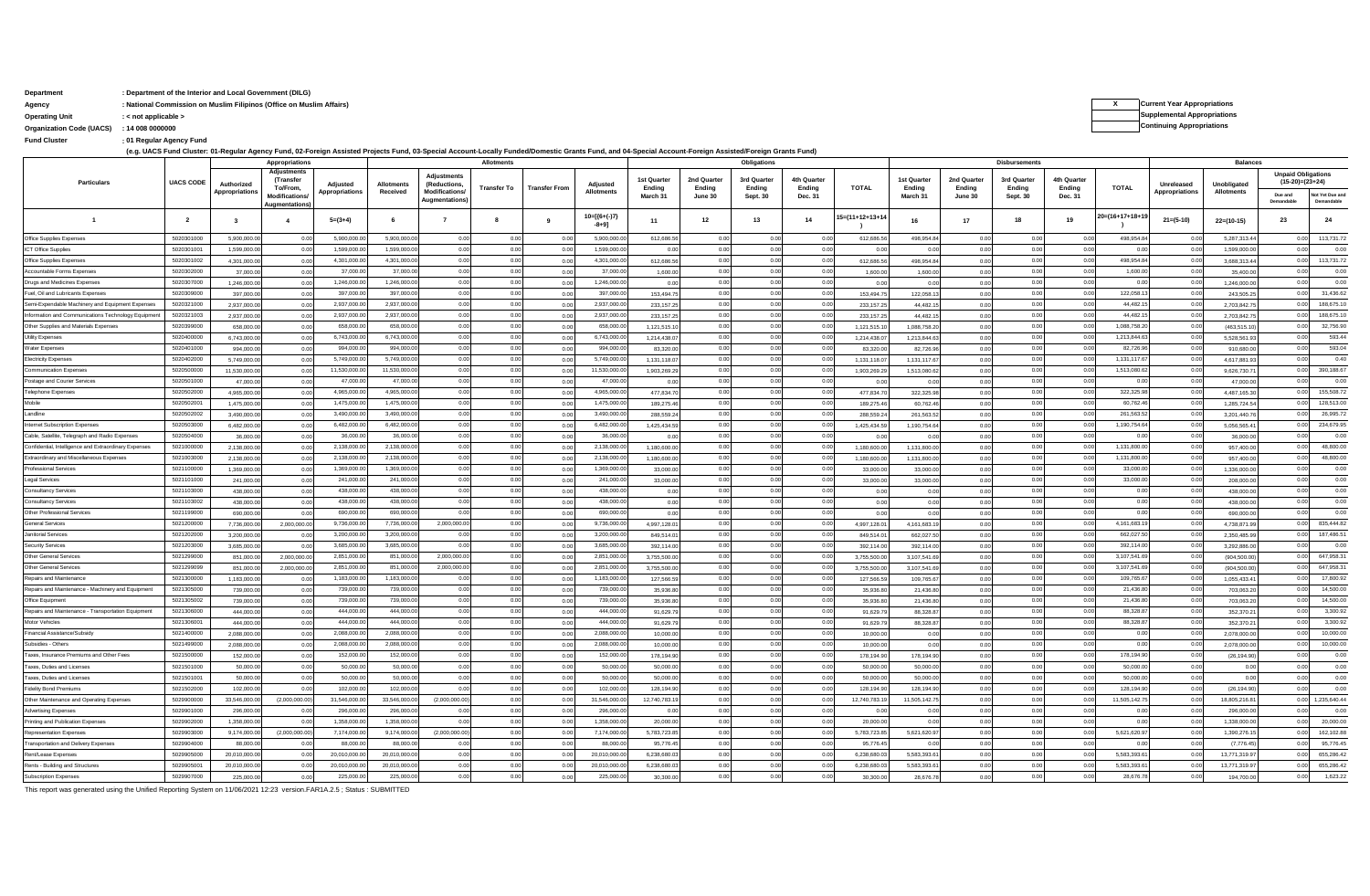### **Department : Department of the Interior and Local Government (DILG)**

**: Fund Cluster 01 Regular Agency Fund**

.<br>(e.g. UACS Fund Cluster: 01-Regular Agency Fund, 02-Foreign Assisted Projects Fund, 03-Special Account-Locally Funded/Domestic Grants Fund, and 04-Special Account-Foreign Assisted/Foreign Grants Fund)

|                                                       |                  |                | Appropriations                              |                |                   |                                       | <b>Allotments</b> |                      |                               |                      |                       | Obligations          |                       |                 |                              |                       | <b>Disbursements</b>  |                       |                   |                | <b>Balances</b>                  |                                                |                               |  |
|-------------------------------------------------------|------------------|----------------|---------------------------------------------|----------------|-------------------|---------------------------------------|-------------------|----------------------|-------------------------------|----------------------|-----------------------|----------------------|-----------------------|-----------------|------------------------------|-----------------------|-----------------------|-----------------------|-------------------|----------------|----------------------------------|------------------------------------------------|-------------------------------|--|
| Particulars                                           | <b>UACS CODE</b> | Authorized     | Adjustments<br><b>(Transfer</b><br>To/From. | Adjusted       | <b>Allotments</b> | Adjustments<br><i>(Reductions</i>     | Transfer To       | <b>Transfer From</b> | Adjusted<br><b>Allotments</b> | 1st Quarte<br>Ending | 2nd Quarter<br>Endina | 3rd Quarte<br>Endina | 4th Quarter<br>Ending | <b>TOTAL</b>    | <b>1st Quarter</b><br>Endina | 2nd Quarter<br>Endina | 3rd Quarter<br>Endina | 4th Quarter<br>Ending | <b>TOTAL</b>      | Unreleased     | Unobligated<br><b>Allotments</b> | <b>Unpaid Obligations</b><br>$(15-20)=(23+24)$ |                               |  |
|                                                       |                  | Appropriations | Modifications<br>ugmentation                | Appropriations | Received          | Modifications<br><b>Augmentations</b> |                   |                      |                               | March 31             | June 30               | Sept. 30             | Dec. 31               |                 | March 31                     | June 30               | Sept. 30              | Dec. 31               |                   | Appropriations |                                  | Due and<br>Demandable                          | Not Yet Due and<br>Demandable |  |
|                                                       | $\overline{2}$   | $\mathbf{3}$   |                                             | $5=(3+4)$      |                   |                                       |                   |                      | $10=[(6+(-)7)$<br>$-8+91$     | 11                   | 12                    | 13                   | 14                    | 15=(11+12+13+14 | 16                           | 17                    | 18                    | 19                    | $20=(16+17+18+1)$ | $21 = (5-10)$  | $22=(10-15)$                     | 23                                             | 24                            |  |
| Office Supplies Expenses                              | 5020301000       | 5,900,000.0    | 0 <sub>0</sub>                              | 5,900,000      | 5.900.000         | 0.0                                   | 0.0               | 0.00                 | 5.900.000.0                   | 612,686.5            | 0.00                  | 0.00                 | 0.00                  | 612,686.56      | 498,954.8                    | 0.00                  | 0.0                   | 0.0                   | 498.954.84        | 0.01           | 5.287.313.4                      | 0.0                                            | 113,731.72                    |  |
| T Office Supplie:                                     | 502030100        | 1,599,000.     | 0 <sub>0</sub>                              | 1.599.000.     | 1.599.000.        | 0 <sup>0</sup>                        | 0.0               | 0.0                  | 1,599,000.0                   | 0.0                  | 0 <sub>0</sub>        | 0.01                 | 0.0                   | 0.0             | 0 <sub>c</sub>               | 0.00                  | 0.0                   | n n                   | 0 <sub>0</sub>    | 0.01           | 1,599,000.                       | 0 <sub>0</sub>                                 | 0.00                          |  |
| Office Supplies Expenses                              | 5020301002       | 4,301,000.0    | 0 <sub>0</sub>                              | 4.301.000      | 4,301,000.0       | 0.0                                   | 0.00              | 0.00                 | 4.301.000.0                   | 612,686.5            | 0.00                  | 0.00                 | 0.00                  | 612,686.56      | 498,954.8                    | 0.00                  | 0.00                  | 0.00                  | 498,954.84        | 0.00           | 3,688,313.4                      | 0.00                                           | 113,731.72                    |  |
| ccountable Forms Expenser                             | 5020302000       | 37,000.0       | 0.0                                         | 37,000.        | 37,000.0          | 0.0                                   | 0.0               | 0.01                 | 37,000.0                      | 1,600.0              | 0.0                   | 0.00                 | 0.00                  | 1.600.0         | 1,600.0                      | 0.00                  | 0.0                   | 0.00                  | 1,600.00          | 0.00           | 35,400.0                         | 0 <sub>0</sub>                                 | 0.00                          |  |
| <b>Irugs and Medicines Expense</b>                    | 502030700        | 1,246,000.     | $\Omega$                                    | 1,246,000      | 1.246.000         | 0 <sup>0</sup>                        | 0.0               | 0.01                 | 1.246,000.0                   | 0.0                  | 0.00                  | 0.01                 | 0.00                  | 0.0             | 0 <sup>0</sup>               | 0.00                  | 0.0                   | 0.00                  | 0.0               | 0.01           | 1.246.000.                       | 0 <sub>0</sub>                                 | 0.00                          |  |
| uel, Oil and Lubricants Expenses                      | 5020309000       | 397,000.0      | 0.0                                         | 397,000.       | 397.000           | 0 <sub>0</sub>                        | 0.00              | 0.01                 | 397,000.0                     | 153,494.7            | 0.00                  | 0.00                 | 0.00                  | 153,494.7       | 122,058.1                    | 0.00                  | 0.0                   | 0.00                  | 122,058.13        | 0.00           | 243,505.                         | 0.00                                           | 31,436.62                     |  |
| Semi-Expendable Machinery and Equipment Expenser      | 5020321000       | 2,937,000.0    | 0 <sub>0</sub>                              | 2,937,000.     | 2,937,000.        | 0.0                                   | 0.0               | 0.01                 | 2,937,000.0                   | 233,157.2            | 0.0                   | 0.00                 | 0.00                  | 233,157.25      | 44,482.1                     | 0.00                  | 0.0                   | 0.00                  | 44,482.1          | 0.00           | 2,703,842.7                      | 0.00                                           | 188,675.10                    |  |
| formation and Communications Technology Equipment     | 5020321003       | 2,937,000.0    | 00                                          | 2,937,000.     | 2,937,000.0       | 0.0                                   | 0.00              | 0.01                 | 2,937,000.0                   | 233.157.2            | 0.00                  | 0.00                 | 0.00                  | 233.157.2       | 44 482                       | 0.00                  | 0.0                   | 0.00                  | 44,482.1          | 0.00           | 2 703 842                        | 0 <sub>0</sub>                                 | 188,675.10                    |  |
| Other Supplies and Materials Expenses                 | 5020399000       | 658,000.0      | 00                                          | 658,000.0      | 658,000           | 0 <sub>0</sub>                        | 0.0               | 0.01                 | 658,000.0                     | 1,121,515.           | 0.00                  | 0.00                 | 0.00                  | 1,121,515.1     | 1,088,758.2                  | 0.00                  | 0.0                   | 0.00                  | 1 088 758 20      | 0.00           | (463, 515.1)                     | 00                                             | 32,756.90                     |  |
| Jtility Expenses                                      | 5020400000       | 6,743,000.     | 0.0                                         | 6,743,000.     | 6.743.000         | 0.0                                   | 0.00              | 0.01                 | 6,743,000.0                   | 1,214,438.0          | 0.0                   | 0.01                 | 0.00                  | 1,214,438.0     | 1,213,844.6                  | 0.00                  | 0.0                   | 0 <sub>0</sub>        | 1,213,844.63      | 0.00           | 5,528,561.9                      | 0 <sub>0</sub>                                 | 593.44                        |  |
| ater Expenses                                         | 5020401000       | 994,000.0      | 0 <sub>0</sub>                              | 994.000        | 994.000           | 0.00                                  | 0.00              | 0.00                 | 994,000.0                     | 83,320.0             | 0.00                  | 0.00                 | 0.00                  | 83,320.         | 82,726.9                     | 0.00                  | 0.00                  | 0.00                  | 82,726.9          | 0.00           | 910,680.0                        | 0.00                                           | 593.04                        |  |
| lectricity Expenses                                   | 5020402000       | 5 749 000 0    | 0 <sub>0</sub>                              | 5,749,000.0    | 5,749,000.0       | 00                                    | 0.0               | 0.01                 | 5,749,000.0                   | 1.131.118.0          | 0.0                   | 0.00                 | 0.00                  | 1 131 118 0     | 1 131 117 6                  | 0.00                  | 0.0                   | 0 <sub>0</sub>        | 1,131,117.6       | 0.00           | 46178819                         | 0.0                                            | 0.40                          |  |
| ommunication Expense                                  | 502050000        | 11,530,000.0   | 00                                          | 11.530.000.    | 11.530.000.       | 0 <sup>0</sup>                        | 0.0               | 0.01                 | 11.530.000.0                  | 1.903.269.2          | 0.0                   | 0.01                 | 0.00                  | 1,903,269.29    | 1.513.080.6                  | 0.00                  | 0.0                   | 0.00                  | 1,513,080.6       | 0.01           | 9.626.730.                       | 00                                             | 390.188.67                    |  |
| ostage and Courier Services                           | 5020501000       | 47,000.0       | 0.0                                         | 47,000.        | 47,000.0          | 0.0                                   | 0.00              | 0.00                 | 47,000.0                      | 0.00                 | 0.00                  | 0.00                 | 0.00                  | 0.0             | 0.0                          | 0.00                  | 0.00                  | 0.00                  | 0.00              | 0.00           | 47,000.0                         | 0 <sub>0</sub>                                 | 0.00                          |  |
| elephone Expenses                                     | 5020502000       | 4,965,000.0    | 0 <sub>0</sub>                              | 4,965,000.     | 4,965,000.        | 0.0                                   | 0.0               | 0.00                 | 4,965,000.0                   | 477,834.7            | 0.0                   | 0.00                 | 0.00                  | 477,834.7       | 322,325.9                    | 0.00                  | 0.0                   | 0.00                  | 322,325.98        | 0.00           | 4,487,165.3                      | 0.0                                            | 155,508.72                    |  |
| didoM                                                 | 5020502001       | 1475 000 0     | 00                                          | 1,475,000.     | 1,475,000.0       | 0 <sub>0</sub>                        | 0.00              | 0.01                 | 1,475,000.0                   | 189,275.4            | 0 <sub>0</sub>        | 0.01                 | 0.00                  | 189 275 4       | 60.762                       | 0.00                  | 0.0                   | 0.00                  | 60,762.46         | 0.00           | 1 285 724 5                      | 0 <sub>0</sub>                                 | 128,513.00                    |  |
| andline                                               | 5020502002       | 3.490.000.0    | 00                                          | 3 490 000 0    | 3.490.000.0       | 0.0                                   | 0.0               | 0.01                 | 3.490.000.0                   | 288,559.2            | 0.00                  | 0.00                 | 0.00                  | 288,559.2       | 261.563.5                    | 0.00                  | 0.0                   | 0.00                  | 261,563.52        | 0.00           | 3.201.440.7                      | 0.0                                            | 26,995.72                     |  |
| ternet Subscription Expenses                          | 5020503000       | 6,482,000      | 0.0                                         | 6,482,000.     | 6.482.000         | 0 <sub>0</sub>                        | 0.00              | 0.0                  | 6.482.000.0                   | 1,425,434.5          | 0 <sub>0</sub>        | 0.00                 | 0.00                  | 1,425,434.5     | 1,190,754.6                  | 0.00                  | 0.0                   | 0 <sub>0</sub>        | 1,190,754.64      | 0.00           | 5,056,565.4                      | 0 <sub>0</sub>                                 | 234,679.95                    |  |
| Cable, Satellite, Telegraph and Radio Expenses        | 5020504000       | 36,000.0       | 0 <sub>0</sub>                              | 36,000         | 36,000            | 0.0                                   | 0.00              | 0.00                 | 36,000.0                      | 0.00                 | 0.00                  | 0.00                 | 0.00                  | 0.0             | 0.00                         | 0.00                  | 0.00                  | 0.00                  | 0.00              | 0.00           | 36,000.0                         | 0.00                                           | 0.00                          |  |
| Confidential, Intelligence and Extraordinary Expenses | 5021000000       | 2.138.000.0    | 00                                          | 2,138,000.0    | 2,138,000.        | 0 <sub>0</sub>                        | 0.0               | 0.01                 | 2,138,000.0                   | 1.180.600.0          | 0.00                  | 0.00                 | 0.00                  | 1.180.600.0     | 1 131 800 0                  | 0.00                  | 0.0                   | 0.00                  | 1,131,800.00      | 0.00           | 957 400.0                        | 00                                             | 48,800.00                     |  |
| Extraordinary and Miscellaneous Expense               | 5021003000       | 2,138,000.     | 0 <sup>1</sup>                              | 2 138 000      | 2.138.000         | 0 <sub>0</sub>                        | 0.0               | 0.01                 | 2.138.000.0                   | 1.180.600.           | 0.00                  | 0.01                 | 0.00                  | 1.180,600.      | 1,131,800.0                  | 0.00                  | 0.0                   | 0.00                  | 1,131,800.0       | 0.00           | 957,400.0                        | 0.0                                            | 48,800.00                     |  |
| Professional Services                                 | 5021100000       | 1,369,000.0    | 0.0                                         | 1,369,000.     | 1.369.000         | 0 <sub>0</sub>                        | 0.0               | 0.00                 | 1,369,000.0                   | 33,000.0             | 0.00                  | 0.00                 | 0.00                  | 33,000.         | 33,000.                      | 0.00                  | 0.0                   | 0 <sub>0</sub>        | 33,000.0          | 0.00           | 1,336,000.                       | 0 <sub>0</sub>                                 | 0.00                          |  |
| egal Services                                         | 5021101000       | 241,000.0      | 0 <sub>0</sub>                              | 241,000.0      | 241.000           | 0.0                                   | 0.00              | 0.01                 | 241,000.0                     | 33,000.00            | 0.0                   | 0.00                 | 0.00                  | 33,000.0        | 33,000.00                    | 0.00                  | 0.0                   | 0.00                  | 33,000.0          | 0.00           | 208,000.0                        | 0.0                                            | 0.00                          |  |
| onsultancy Services                                   | 5021103000       | 438,000.0      | 00                                          | 438,000.0      | 438,000.0         | 0 <sub>0</sub>                        | 0.00              | 0.01                 | 438,000.0                     | 0.00                 | 0.00                  | 0.00                 | 0.00                  | 0.01            | 0.00                         | 0.00                  | 0.0                   | 0.00                  | 0.00              | 0.00           | 438,000.0                        | 0 <sub>0</sub>                                 | 0.00                          |  |
| onsultancy Services                                   | 5021103002       | 438,000.0      | 0 <sub>0</sub>                              | 438,000.0      | 438,000.0         | 0 <sub>0</sub>                        | 0.0               | 0.01                 | 438,000.0                     | 0.00                 | 0.00                  | 0.00                 | 0.00                  | 0.00            | 0.00                         | 0.00                  | 0.0                   | 0.00                  | 0.00              | 0.00           | 438,000.0                        | 0.00                                           | 0.00                          |  |
| Other Professional Service                            | 5021199000       | 690,000.       | 0 <sup>0</sup>                              | 690,000.       | 690,000           | 0 <sup>0</sup>                        | 0.0               | 0.0                  | 690,000                       | 0.00                 |                       | 0.01                 | 0.00                  | 0.00            | 0.0                          | 0.00                  | 0.0                   | 0 <sub>0</sub>        | 0.00              | 0.00           | 690,000.0                        | 0 <sub>0</sub>                                 | 0.00                          |  |
| Seneral Services                                      | 5021200000       | 7,736,000.0    | 2,000,000.0                                 | 9,736,000.     | 7,736,000.0       | 2,000,000.0                           | 0.00              | 0.00                 | 9,736,000.0                   | 4,997,128.0          | 0.00                  | 0.00                 | 0.00                  | 4,997,128.0     | 4,161,683.1                  | 0.00                  | 0.00                  | 0.00                  | 4,161,683.1       | 0.00           | 4,738,871.9                      | 0.00                                           | 835,444.82                    |  |
| anitorial Services                                    | 5021202000       | 3.200.000.0    | 0 <sup>1</sup>                              | 3,200,000.0    | 3,200,000.0       |                                       | 0.0               | 0.01                 | 3,200,000.0                   | 849.514.0            |                       | 0.01                 | 0.0                   | 849.514.0       | 662.027                      | 0.00                  | 0.0                   | 0 <sub>0</sub>        | 662,027.5         | 0.00           | 2.350.485.9                      |                                                | 187,486.51                    |  |
| ecurity Services                                      | 5021203000       | 3.685.000      | $\Omega$                                    | 3 685 000      | 3 685 000         |                                       | 0.0               | 0.0                  | 3.685.000.0                   | 392,114.0            | 0.0                   | 0.01                 | 0.00                  | 392.114.0       | 392.114.                     | 0.00                  | 0.0                   | 0.0                   | 392 114 00        | 0.01           | 3,292,886.0                      | 00                                             | 0.00                          |  |
| Other General Services                                | 5021299000       | 851,000.0      | 2,000,000.0                                 | 2,851,000.     | 851,000           | 2,000,000.0                           | 0.00              | 0.00                 | 2,851,000.0                   | 3,755,500.0          | 0.00                  | 0.00                 | 0.00                  | 3,755,500.0     | 3,107,541.6                  | 0.00                  | 0.00                  | 0.00                  | 3,107,541.69      | 0.00           | (904, 500.00)                    | 0.00                                           | 647,958.31                    |  |
| ther General Services                                 | 5021299099       | 851,000.0      | 2,000,000.0                                 | 2,851,000.     | 851,000.          | 2,000,000.0                           | 0.0               | 0.00                 | 2,851,000.0                   | 3,755,500.0          | 0.00                  | 0.00                 | 0.00                  | 3,755,500.0     | 3,107,541.6                  | 0.00                  | 0.0                   | 0.0                   | 3,107,541.6       | 0.00           | (904, 500.00)                    | 0 <sub>0</sub>                                 | 647,958.31                    |  |
| epairs and Maintenance                                | 5021300000       | 1 183 000      | $\Omega$                                    | 1,183,000.0    | 1,183,000.0       | 0 <sup>0</sup>                        | 0.0               | 0.01                 | 1,183,000.0                   | 127,566              | 0.0                   | 0.01                 | 0.00                  | 127,566.5       | 109 765 6                    | 0.00                  | 0.0                   | 0.0                   | 109,765.67        | 0.00           | 1 055 433 4                      | 0 <sub>0</sub>                                 | 17,800.92                     |  |
| epairs and Maintenance - Machinery and Equipment      | 5021305000       | 739,000.0      | 0 <sup>1</sup>                              | 739,000.0      | 739,000           | 0 <sub>0</sub>                        | 0.00              | 0.00                 | 739,000.0                     | 35,936.8             | 0.00                  | 0.00                 | 0.00                  | 35,936.80       | 21,436.8                     | 0.00                  | 0.00                  | 0.00                  | 21 436 80         | 0.00           | 703,063.2                        | 0.0                                            | 14,500.00                     |  |
| Office Equipment                                      | 502130500        | 739,000.       | 0 <sup>0</sup>                              | 739,000        | 739,000.          | 0 <sup>0</sup>                        | 0.0               | 0.0                  | 739,000                       | 35,936.8             | 0.0                   | 0.01                 | 0.00                  | 35,936.8        | 21,436.8                     | 0.00                  | 0.0                   | 0.0                   | 21,436.8          | 0.01           | 703,063.                         | 00                                             | 14,500.00                     |  |
| epairs and Maintenance - Transportation Equipment     | 5021306000       | 444,000.0      | 00                                          | 444,000.       | 444,000.0         | 0.0                                   | 0.00              | 0.00                 | 444,000.0                     | 91,629.7             | 0.00                  | 0.00                 | 0.00                  | 91,629.7        | 88,328.8                     | 0.00                  | 0.00                  | 0.00                  | 88,328.8          | 0.00           | 352,370.2                        | 0.00                                           | 3,300.92                      |  |
| fotor Vehicles                                        | 5021306001       | 444,000.0      | 0.0                                         | 444,000.0      | 444,000.0         | 0.0                                   | 0.0               | 0.01                 | 444,000.0                     | 91.629.7             | 0.00                  | 0.00                 | 0.00                  | 91 629 7        | 88 328 8                     | 0.00                  | 0.0                   | 0.00                  | 88,328.87         | 0.00           | 352.370.2                        | 0.0                                            | 3,300.92                      |  |
| nancial Assistance/Subsid                             | 502140000        | 2.088.000      | 0 <sup>1</sup>                              | 2.088.000      | 2.088.000         | 0 <sub>0</sub>                        | 0.0               | 0.01                 | 2.088.000.0                   | 10,000.0             | 0.0                   | 0.01                 | 0.00                  | 10,000.0        | 0.0                          | 0.00                  | 0.0                   | 0.00                  | 0.00              | 0.00           | 2.078.000                        | 00                                             | 10,000.00                     |  |
| subsidies - Others                                    | 5021499000       | 2,088,000.0    | 0.0                                         | 2,088,000.     | 2,088,000.0       | 0.0                                   | 0.00              | 0.00                 | 2,088,000.0                   | 10,000.0             | 0.00                  | 0.00                 | 0.00                  | 10,000.0        | 0.00                         | 0.00                  | 0.0                   | 0.00                  | 0.00              | 0.00           | 2,078,000.                       | 00                                             | 10,000.00                     |  |
| axes, Insurance Premiums and Other Fees               | 5021500000       | 152,000.0      | 0 <sub>0</sub>                              | 152,000.       | 152,000.          | 0.0                                   | 0.00              | 0.00                 | 152,000.0                     | 178,194.90           |                       | 0.00                 | 0.00                  | 178,194.90      | 178,194.9                    | 0.00                  | 0.0                   | 0.00                  | 178,194.90        | 0.00           | (26, 194.90)                     | 0.0                                            | 0.00                          |  |
| <b>Taxes. Duties and License</b>                      | 5021501000       | 50,000.0       | 00                                          | 50,000.0       | 50,000.0          | 0 <sub>0</sub>                        | 0.00              | 0.01                 | 50,000.0                      | 50,000.0             | 0.00                  | 0.00                 | 0.00                  | 50,000.0        | 50,000.0                     | 0.00                  | 0.0                   | 0.00                  | 50,000.0          | 0.00           | 00                               | 0 <sub>0</sub>                                 | 0.00                          |  |
| <b>Taxes, Duties and License</b>                      | 5021501001       | 50,000.0       | 00                                          | 50,000.0       | 50,000.0          | 0 <sub>0</sub>                        | 0.0               | 0.01                 | 50,000.0                      | 50,000.0             | 0.00                  | 0.00                 | 0.00                  | 50,000.0        | 50,000.0                     | 0.00                  | 0.0                   | 0.00                  | 50,000.00         | 0.00           | 0.0                              | 0.0                                            | 0.00                          |  |
| idelity Bond Premiums                                 | 5021502000       | 102,000.       | 0 <sup>0</sup>                              | 102.000.       | 102,000           | 0 <sup>0</sup>                        | 0.0               | 0.00                 | 102,000.0                     | 128,194.9            | 00                    | 0.01                 | 0.00                  | 128,194.9       | 128,194.9                    | 0.00                  | 0.0                   | 0.0                   | 128,194.90        | 0.00           | (26, 194.90)                     | 0.0                                            | 0.00                          |  |
| Other Maintenance and Operating Expenses              | 5029900000       | 33,546,000.0   | (2,000,000.0)                               | 31,546,000.0   | 33,546,000.0      | (2,000,000.00)                        | 0.00              | 0.00                 | 31,546,000.0                  | 12,740,783.1         | 0.00                  | 0.00                 | 0.00                  | 12,740,783.1    | 11,505,142.7                 | 0.00                  | 0.00                  | 0.00                  | 11,505,142.7      | 0.00           | 18,805,216.8                     | 0.00                                           | 1,235,640.44                  |  |
| dvertising Expenses                                   | 5029901000       | 296,000.0      | n n                                         | 296,000.0      | 296,000.0         | 00                                    | 0.0               | 0.01                 | 296,000.0                     | 0.00                 | 0.00                  | 0.00                 | 0.00                  | 0.00            | 0.00                         | 0.00                  | 0.0                   | 0.0                   | 0.00              | 0.00           | 296,000.0                        | 0.0                                            | 0.00                          |  |
| inting and Publication Expenses                       | 502990200        | 1.358.000      |                                             | 1 358 000      | 1.358.000         | 0 <sup>0</sup>                        | 0.0               | 0.0                  | 1 358 000 0                   | 20,000.0             | 00                    | 0.01                 | 0.00                  | 20,000.0        | 0 <sup>0</sup>               | 0.00                  | 0.0                   | 0.0                   | 0.00              | 0.00           | 1.338.000.                       | 00                                             | 20,000.00                     |  |
| epresentation Expense                                 | 5029903000       | 9,174,000.     | (2,000,000.0)                               | 7,174,000.     | 9.174.000.        | (2,000,000.00)                        | 0.00              | 0.00                 | 7,174,000.0                   | 5,783,723.8          | 0.00                  | 0.00                 | 0.00                  | 5,783,723.8     | 5,621,620.9                  | 0.00                  | 0.00                  | 0.00                  | 5,621,620.9       | 0.00           | 1,390,276.                       | 00                                             | 162,102.88                    |  |
| ransportation and Delivery Expenses                   | 5029904000       | 88,000.0       | 0 <sub>0</sub>                              | 88,000         | 88,000.           | 0.0                                   | 0.0               | 0.01                 | 88,000.0                      | 95,776.4             | 0.0                   | 0.00                 | 0.00                  | 95,776.45       | 0.00                         | 0.00                  | 0.0                   | 0.0                   | 0.00              | 0.00           | (7,776.45)                       | 0.0                                            | 95,776.45                     |  |
| <b>Rent/Lease Expenset</b>                            | 5029905000       | 20.010.000     | 00                                          | 20,010,000.    | 20,010,000.       | 0 <sup>0</sup>                        | 0.0               | 0.01                 | 20,010,000.0                  | 6.238.680.0          | 0.0                   | 0.01                 | 0.00                  | 6.238.680       | 5.583.393.6                  | 0.00                  | 0.0                   | 0.0                   | 5,583,393.6       | 0.00           | 13,771,319.9                     | 0 <sub>0</sub>                                 | 655,286.42                    |  |
| <b>Rents - Building and Structures</b>                | 5029905001       | 20.010.000.0   | 00                                          | 20,010,000.0   | 20.010.000        | 0 <sub>0</sub>                        | 0.0               | 0.01                 | 20.010.000.0                  | 6.238.680.0          | 0.00                  | 0.00                 | 0.00                  | 6.238.680.0     | 5 583 393 6                  | 0.00                  | 0.0                   | 0.00                  | 55833936          | 0.00           | 13,771,319.9                     | 0.0                                            | 655.286.42                    |  |
| <b>Subscription Expenses</b>                          | 5029907000       | 225,000.0      | 0.00                                        | 225,000.       | 225,000.          | 0.0                                   | 0.0               | 0.00                 | 225,000.0                     | 30,300.0             |                       | 0.01                 | 0.0                   | 30,300.         | 28,676.7                     | 0.00                  | 0.0                   | 0 <sub>0</sub>        | 28,676.7          | 0.01           | 194,700.0                        | 0.0                                            | 1,623.22                      |  |

This report was generated using the Unified Reporting System on 11/06/2021 12:23 version.FAR1A.2.5 ; Status : SUBMITTED

**Agency** and the substitutional Commission on Muslim Filipinos (Office on Muslim Affairs) **and the substitution of the substitution** of the substitution of the substitution of the substitution of the substitutions of the **Operating Unit : < not applicable > Supplemental Appropriations Organization Code (UACS) Continuing Appropriations : 14 008 0000000**